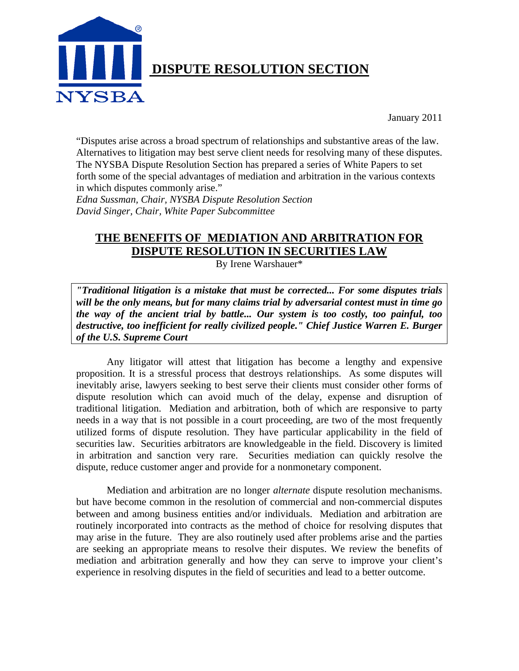

January 2011

"Disputes arise across a broad spectrum of relationships and substantive areas of the law. Alternatives to litigation may best serve client needs for resolving many of these disputes. The NYSBA Dispute Resolution Section has prepared a series of White Papers to set forth some of the special advantages of mediation and arbitration in the various contexts in which disputes commonly arise."

*Edna Sussman, Chair, NYSBA Dispute Resolution Section David Singer, Chair, White Paper Subcommittee* 

# **THE BENEFITS OF MEDIATION AND ARBITRATION FOR DISPUTE RESOLUTION IN SECURITIES LAW**

By Irene Warshauer\*

*"Traditional litigation is a mistake that must be corrected... For some disputes trials will be the only means, but for many claims trial by adversarial contest must in time go the way of the ancient trial by battle... Our system is too costly, too painful, too destructive, too inefficient for really civilized people." Chief Justice Warren E. Burger of the U.S. Supreme Court* 

Any litigator will attest that litigation has become a lengthy and expensive proposition. It is a stressful process that destroys relationships. As some disputes will inevitably arise, lawyers seeking to best serve their clients must consider other forms of dispute resolution which can avoid much of the delay, expense and disruption of traditional litigation. Mediation and arbitration, both of which are responsive to party needs in a way that is not possible in a court proceeding, are two of the most frequently utilized forms of dispute resolution. They have particular applicability in the field of securities law. Securities arbitrators are knowledgeable in the field. Discovery is limited in arbitration and sanction very rare. Securities mediation can quickly resolve the dispute, reduce customer anger and provide for a nonmonetary component.

Mediation and arbitration are no longer *alternate* dispute resolution mechanisms. but have become common in the resolution of commercial and non-commercial disputes between and among business entities and/or individuals. Mediation and arbitration are routinely incorporated into contracts as the method of choice for resolving disputes that may arise in the future. They are also routinely used after problems arise and the parties are seeking an appropriate means to resolve their disputes. We review the benefits of mediation and arbitration generally and how they can serve to improve your client's experience in resolving disputes in the field of securities and lead to a better outcome.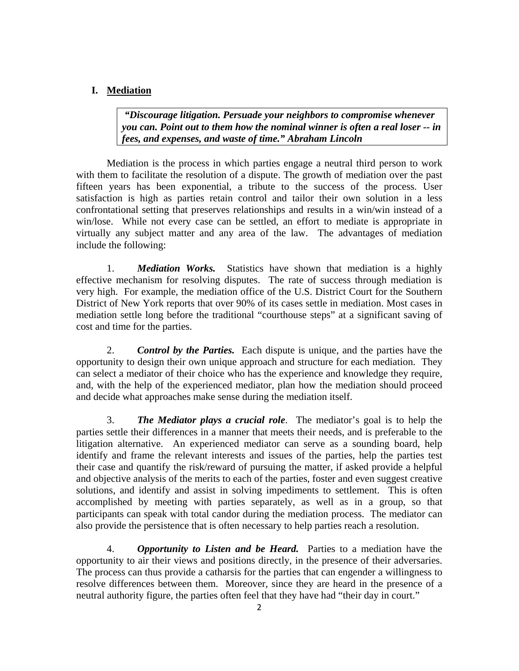## **I. Mediation**

 *"Discourage litigation. Persuade your neighbors to compromise whenever you can. Point out to them how the nominal winner is often a real loser -- in fees, and expenses, and waste of time." Abraham Lincoln* 

 Mediation is the process in which parties engage a neutral third person to work with them to facilitate the resolution of a dispute. The growth of mediation over the past fifteen years has been exponential, a tribute to the success of the process. User satisfaction is high as parties retain control and tailor their own solution in a less confrontational setting that preserves relationships and results in a win/win instead of a win/lose. While not every case can be settled, an effort to mediate is appropriate in virtually any subject matter and any area of the law. The advantages of mediation include the following:

1. *Mediation Works.* Statistics have shown that mediation is a highly effective mechanism for resolving disputes. The rate of success through mediation is very high. For example, the mediation office of the U.S. District Court for the Southern District of New York reports that over 90% of its cases settle in mediation. Most cases in mediation settle long before the traditional "courthouse steps" at a significant saving of cost and time for the parties.

2. *Control by the Parties.* Each dispute is unique, and the parties have the opportunity to design their own unique approach and structure for each mediation. They can select a mediator of their choice who has the experience and knowledge they require, and, with the help of the experienced mediator, plan how the mediation should proceed and decide what approaches make sense during the mediation itself.

3. *The Mediator plays a crucial role*. The mediator's goal is to help the parties settle their differences in a manner that meets their needs, and is preferable to the litigation alternative. An experienced mediator can serve as a sounding board, help identify and frame the relevant interests and issues of the parties, help the parties test their case and quantify the risk/reward of pursuing the matter, if asked provide a helpful and objective analysis of the merits to each of the parties, foster and even suggest creative solutions, and identify and assist in solving impediments to settlement. This is often accomplished by meeting with parties separately, as well as in a group, so that participants can speak with total candor during the mediation process. The mediator can also provide the persistence that is often necessary to help parties reach a resolution.

4. *Opportunity to Listen and be Heard.* Parties to a mediation have the opportunity to air their views and positions directly, in the presence of their adversaries. The process can thus provide a catharsis for the parties that can engender a willingness to resolve differences between them. Moreover, since they are heard in the presence of a neutral authority figure, the parties often feel that they have had "their day in court."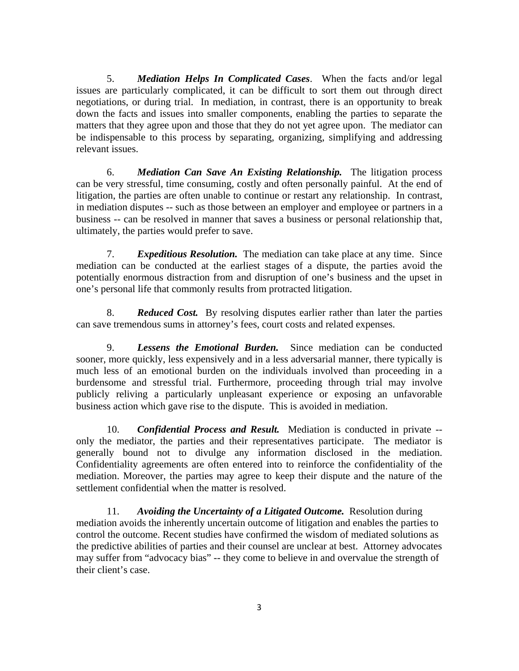5. *Mediation Helps In Complicated Cases*. When the facts and/or legal issues are particularly complicated, it can be difficult to sort them out through direct negotiations, or during trial. In mediation, in contrast, there is an opportunity to break down the facts and issues into smaller components, enabling the parties to separate the matters that they agree upon and those that they do not yet agree upon. The mediator can be indispensable to this process by separating, organizing, simplifying and addressing relevant issues.

6. *Mediation Can Save An Existing Relationship.* The litigation process can be very stressful, time consuming, costly and often personally painful. At the end of litigation, the parties are often unable to continue or restart any relationship. In contrast, in mediation disputes -- such as those between an employer and employee or partners in a business -- can be resolved in manner that saves a business or personal relationship that, ultimately, the parties would prefer to save.

7. *Expeditious Resolution.* The mediation can take place at any time. Since mediation can be conducted at the earliest stages of a dispute, the parties avoid the potentially enormous distraction from and disruption of one's business and the upset in one's personal life that commonly results from protracted litigation.

8. *Reduced Cost.* By resolving disputes earlier rather than later the parties can save tremendous sums in attorney's fees, court costs and related expenses.

9. *Lessens the Emotional Burden.* Since mediation can be conducted sooner, more quickly, less expensively and in a less adversarial manner, there typically is much less of an emotional burden on the individuals involved than proceeding in a burdensome and stressful trial. Furthermore, proceeding through trial may involve publicly reliving a particularly unpleasant experience or exposing an unfavorable business action which gave rise to the dispute. This is avoided in mediation.

10. *Confidential Process and Result.* Mediation is conducted in private - only the mediator, the parties and their representatives participate. The mediator is generally bound not to divulge any information disclosed in the mediation. Confidentiality agreements are often entered into to reinforce the confidentiality of the mediation. Moreover, the parties may agree to keep their dispute and the nature of the settlement confidential when the matter is resolved.

11. *Avoiding the Uncertainty of a Litigated Outcome.* Resolution during mediation avoids the inherently uncertain outcome of litigation and enables the parties to control the outcome. Recent studies have confirmed the wisdom of mediated solutions as the predictive abilities of parties and their counsel are unclear at best. Attorney advocates may suffer from "advocacy bias" -- they come to believe in and overvalue the strength of their client's case.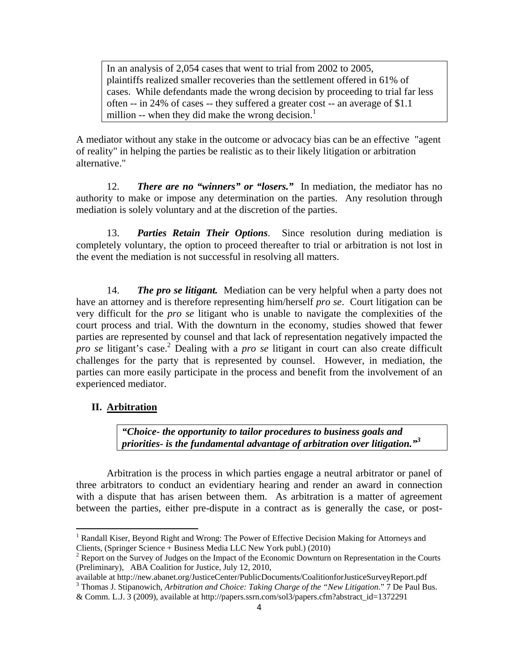In an analysis of 2,054 cases that went to trial from 2002 to 2005, plaintiffs realized smaller recoveries than the settlement offered in 61% of cases. While defendants made the wrong decision by proceeding to trial far less often -- in 24% of cases -- they suffered a greater cost -- an average of \$1.1 million -- when they did make the wrong decision.<sup>1</sup>

A mediator without any stake in the outcome or advocacy bias can be an effective "agent of reality" in helping the parties be realistic as to their likely litigation or arbitration alternative."

12. *There are no "winners" or "losers."* In mediation, the mediator has no authority to make or impose any determination on the parties. Any resolution through mediation is solely voluntary and at the discretion of the parties.

13. *Parties Retain Their Options*. Since resolution during mediation is completely voluntary, the option to proceed thereafter to trial or arbitration is not lost in the event the mediation is not successful in resolving all matters.

14. *The pro se litigant.* Mediation can be very helpful when a party does not have an attorney and is therefore representing him/herself *pro se*. Court litigation can be very difficult for the *pro se* litigant who is unable to navigate the complexities of the court process and trial. With the downturn in the economy, studies showed that fewer parties are represented by counsel and that lack of representation negatively impacted the *pro se* litigant's case.<sup>2</sup> Dealing with a *pro se* litigant in court can also create difficult challenges for the party that is represented by counsel. However, in mediation, the parties can more easily participate in the process and benefit from the involvement of an experienced mediator.

### **II. Arbitration**

*"Choice- the opportunity to tailor procedures to business goals and priorities- is the fundamental advantage of arbitration over litigation."<sup>3</sup>*

Arbitration is the process in which parties engage a neutral arbitrator or panel of three arbitrators to conduct an evidentiary hearing and render an award in connection with a dispute that has arisen between them. As arbitration is a matter of agreement between the parties, either pre-dispute in a contract as is generally the case, or post-

available at http://new.abanet.org/JusticeCenter/PublicDocuments/CoalitionforJusticeSurveyReport.pdf 3 Thomas J. Stipanowich*, Arbitration and Choice: Taking Charge of the "New Litigation*." 7 De Paul Bus.

<sup>&</sup>lt;sup>1</sup> Randall Kiser, Beyond Right and Wrong: The Power of Effective Decision Making for Attorneys and Clients, (Springer Science + Business Media LLC New York publ.) (2010) 2

<sup>&</sup>lt;sup>2</sup> Report on the Survey of Judges on the Impact of the Economic Downturn on Representation in the Courts (Preliminary), ABA Coalition for Justice, July 12, 2010,

<sup>&</sup>amp; Comm. L.J. 3 (2009), available at http://papers.ssrn.com/sol3/papers.cfm?abstract\_id=1372291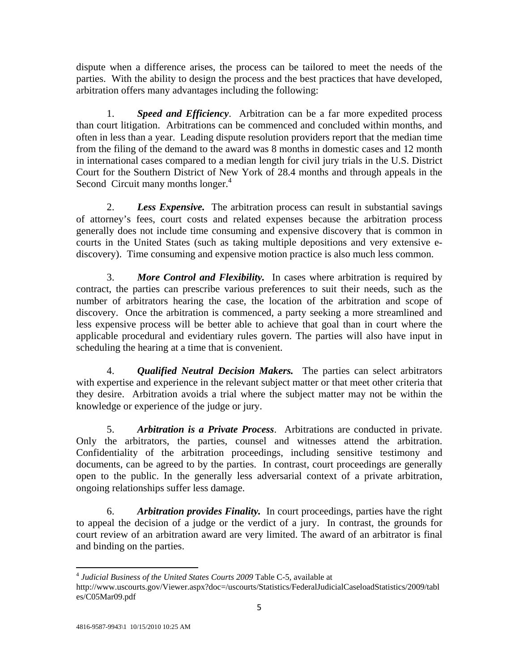dispute when a difference arises, the process can be tailored to meet the needs of the parties. With the ability to design the process and the best practices that have developed, arbitration offers many advantages including the following:

1. *Speed and Efficiency*. Arbitration can be a far more expedited process than court litigation. Arbitrations can be commenced and concluded within months, and often in less than a year. Leading dispute resolution providers report that the median time from the filing of the demand to the award was 8 months in domestic cases and 12 month in international cases compared to a median length for civil jury trials in the U.S. District Court for the Southern District of New York of 28.4 months and through appeals in the Second Circuit many months longer.<sup>4</sup>

2. *Less Expensive.* The arbitration process can result in substantial savings of attorney's fees, court costs and related expenses because the arbitration process generally does not include time consuming and expensive discovery that is common in courts in the United States (such as taking multiple depositions and very extensive ediscovery). Time consuming and expensive motion practice is also much less common.

3. *More Control and Flexibility.* In cases where arbitration is required by contract, the parties can prescribe various preferences to suit their needs, such as the number of arbitrators hearing the case, the location of the arbitration and scope of discovery. Once the arbitration is commenced, a party seeking a more streamlined and less expensive process will be better able to achieve that goal than in court where the applicable procedural and evidentiary rules govern. The parties will also have input in scheduling the hearing at a time that is convenient.

4. *Qualified Neutral Decision Makers.* The parties can select arbitrators with expertise and experience in the relevant subject matter or that meet other criteria that they desire. Arbitration avoids a trial where the subject matter may not be within the knowledge or experience of the judge or jury.

5. *Arbitration is a Private Process*. Arbitrations are conducted in private. Only the arbitrators, the parties, counsel and witnesses attend the arbitration. Confidentiality of the arbitration proceedings, including sensitive testimony and documents, can be agreed to by the parties. In contrast, court proceedings are generally open to the public. In the generally less adversarial context of a private arbitration, ongoing relationships suffer less damage.

6. *Arbitration provides Finality.* In court proceedings, parties have the right to appeal the decision of a judge or the verdict of a jury. In contrast, the grounds for court review of an arbitration award are very limited. The award of an arbitrator is final and binding on the parties.

 <sup>4</sup> *Judicial Business of the United States Courts 2009* Table C-5, available at

http://www.uscourts.gov/Viewer.aspx?doc=/uscourts/Statistics/FederalJudicialCaseloadStatistics/2009/tabl es/C05Mar09.pdf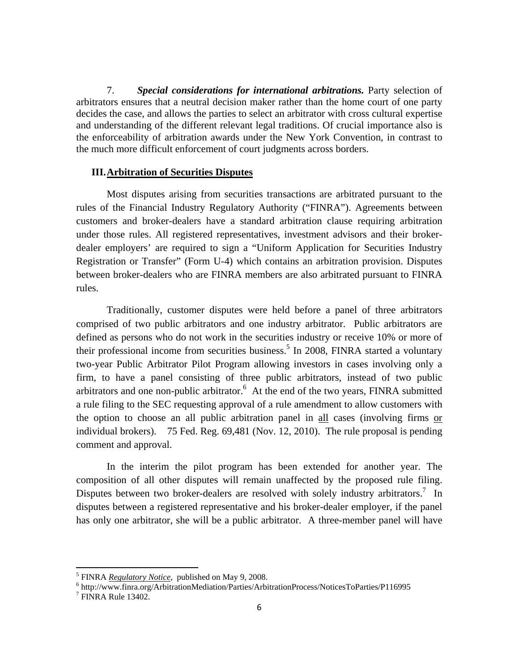7. *Special considerations for international arbitrations.* Party selection of arbitrators ensures that a neutral decision maker rather than the home court of one party decides the case, and allows the parties to select an arbitrator with cross cultural expertise and understanding of the different relevant legal traditions. Of crucial importance also is the enforceability of arbitration awards under the New York Convention, in contrast to the much more difficult enforcement of court judgments across borders.

### **III.Arbitration of Securities Disputes**

Most disputes arising from securities transactions are arbitrated pursuant to the rules of the Financial Industry Regulatory Authority ("FINRA"). Agreements between customers and broker-dealers have a standard arbitration clause requiring arbitration under those rules. All registered representatives, investment advisors and their brokerdealer employers' are required to sign a "Uniform Application for Securities Industry Registration or Transfer" (Form U-4) which contains an arbitration provision. Disputes between broker-dealers who are FINRA members are also arbitrated pursuant to FINRA rules.

Traditionally, customer disputes were held before a panel of three arbitrators comprised of two public arbitrators and one industry arbitrator. Public arbitrators are defined as persons who do not work in the securities industry or receive 10% or more of their professional income from securities business.<sup>5</sup> In 2008, FINRA started a voluntary two-year Public Arbitrator Pilot Program allowing investors in cases involving only a firm, to have a panel consisting of three public arbitrators, instead of two public arbitrators and one non-public arbitrator. $6$  At the end of the two years, FINRA submitted a rule filing to the SEC requesting approval of a rule amendment to allow customers with the option to choose an all public arbitration panel in all cases (involving firms or individual brokers). 75 Fed. Reg. 69,481 (Nov. 12, 2010). The rule proposal is pending comment and approval.

In the interim the pilot program has been extended for another year. The composition of all other disputes will remain unaffected by the proposed rule filing. Disputes between two broker-dealers are resolved with solely industry arbitrators.<sup>7</sup> In disputes between a registered representative and his broker-dealer employer, if the panel has only one arbitrator, she will be a public arbitrator. A three-member panel will have

<sup>&</sup>lt;sup>5</sup> FINRA <u>*Regulatory Notice*</u>, published on May 9, 2008.

http://www.finra.org/ArbitrationMediation/Parties/ArbitrationProcess/NoticesToParties/P116995 7

<sup>&</sup>lt;sup>7</sup> FINRA Rule 13402.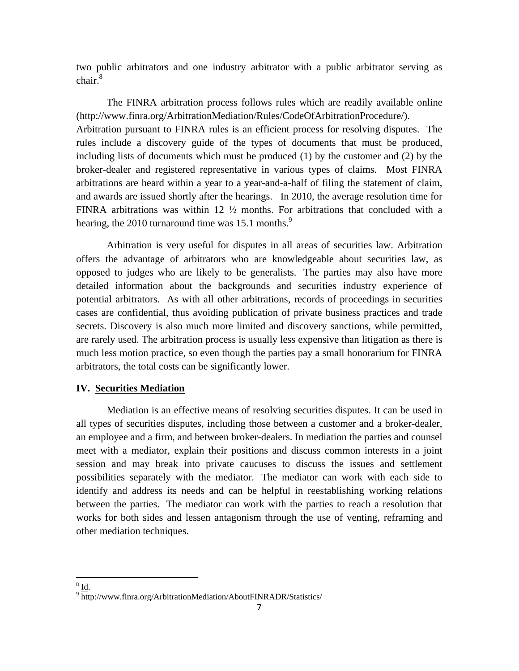two public arbitrators and one industry arbitrator with a public arbitrator serving as chair.<sup>8</sup>

The FINRA arbitration process follows rules which are readily available online (http://www.finra.org/ArbitrationMediation/Rules/CodeOfArbitrationProcedure/). Arbitration pursuant to FINRA rules is an efficient process for resolving disputes. The rules include a discovery guide of the types of documents that must be produced, including lists of documents which must be produced (1) by the customer and (2) by the broker-dealer and registered representative in various types of claims. Most FINRA arbitrations are heard within a year to a year-and-a-half of filing the statement of claim, and awards are issued shortly after the hearings. In 2010, the average resolution time for FINRA arbitrations was within 12 ½ months. For arbitrations that concluded with a hearing, the 2010 turnaround time was  $15.1$  months.<sup>9</sup>

 Arbitration is very useful for disputes in all areas of securities law. Arbitration offers the advantage of arbitrators who are knowledgeable about securities law, as opposed to judges who are likely to be generalists. The parties may also have more detailed information about the backgrounds and securities industry experience of potential arbitrators. As with all other arbitrations, records of proceedings in securities cases are confidential, thus avoiding publication of private business practices and trade secrets. Discovery is also much more limited and discovery sanctions, while permitted, are rarely used. The arbitration process is usually less expensive than litigation as there is much less motion practice, so even though the parties pay a small honorarium for FINRA arbitrators, the total costs can be significantly lower.

#### **IV. Securities Mediation**

Mediation is an effective means of resolving securities disputes. It can be used in all types of securities disputes, including those between a customer and a broker-dealer, an employee and a firm, and between broker-dealers. In mediation the parties and counsel meet with a mediator, explain their positions and discuss common interests in a joint session and may break into private caucuses to discuss the issues and settlement possibilities separately with the mediator. The mediator can work with each side to identify and address its needs and can be helpful in reestablishing working relations between the parties. The mediator can work with the parties to reach a resolution that works for both sides and lessen antagonism through the use of venting, reframing and other mediation techniques.

 $\frac{8}{9}$   $\frac{\text{Id}}{\text{http}}$ 

 $\frac{9}{10}$  http://www.finra.org/ArbitrationMediation/AboutFINRADR/Statistics/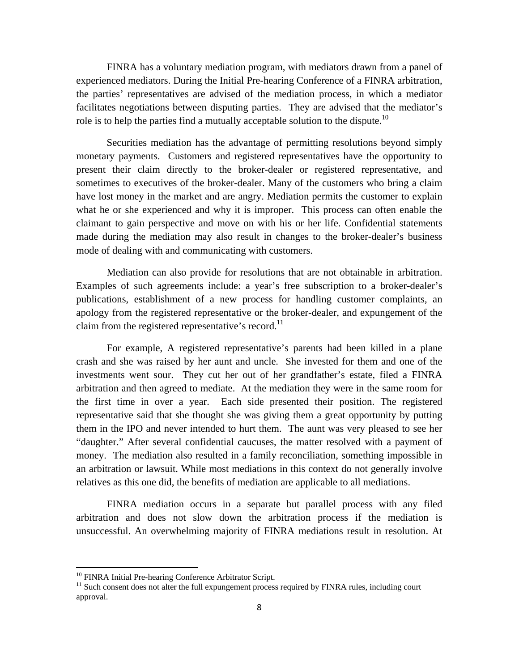FINRA has a voluntary mediation program, with mediators drawn from a panel of experienced mediators. During the Initial Pre-hearing Conference of a FINRA arbitration, the parties' representatives are advised of the mediation process, in which a mediator facilitates negotiations between disputing parties. They are advised that the mediator's role is to help the parties find a mutually acceptable solution to the dispute.<sup>10</sup>

Securities mediation has the advantage of permitting resolutions beyond simply monetary payments. Customers and registered representatives have the opportunity to present their claim directly to the broker-dealer or registered representative, and sometimes to executives of the broker-dealer. Many of the customers who bring a claim have lost money in the market and are angry. Mediation permits the customer to explain what he or she experienced and why it is improper. This process can often enable the claimant to gain perspective and move on with his or her life. Confidential statements made during the mediation may also result in changes to the broker-dealer's business mode of dealing with and communicating with customers.

Mediation can also provide for resolutions that are not obtainable in arbitration. Examples of such agreements include: a year's free subscription to a broker-dealer's publications, establishment of a new process for handling customer complaints, an apology from the registered representative or the broker-dealer, and expungement of the claim from the registered representative's record.<sup>11</sup>

For example, A registered representative's parents had been killed in a plane crash and she was raised by her aunt and uncle. She invested for them and one of the investments went sour. They cut her out of her grandfather's estate, filed a FINRA arbitration and then agreed to mediate. At the mediation they were in the same room for the first time in over a year. Each side presented their position. The registered representative said that she thought she was giving them a great opportunity by putting them in the IPO and never intended to hurt them. The aunt was very pleased to see her "daughter." After several confidential caucuses, the matter resolved with a payment of money. The mediation also resulted in a family reconciliation, something impossible in an arbitration or lawsuit. While most mediations in this context do not generally involve relatives as this one did, the benefits of mediation are applicable to all mediations.

FINRA mediation occurs in a separate but parallel process with any filed arbitration and does not slow down the arbitration process if the mediation is unsuccessful. An overwhelming majority of FINRA mediations result in resolution. At

<sup>&</sup>lt;sup>10</sup> FINRA Initial Pre-hearing Conference Arbitrator Script.

<sup>&</sup>lt;sup>11</sup> Such consent does not alter the full expungement process required by FINRA rules, including court approval.